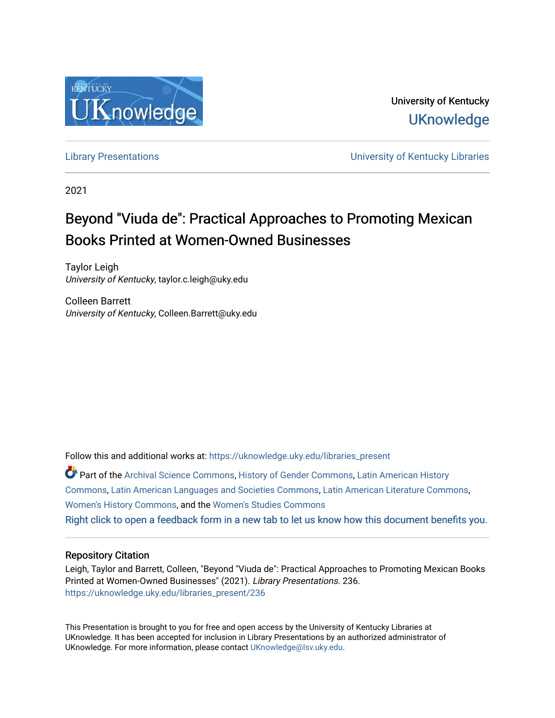

University of Kentucky **UKnowledge** 

[Library Presentations](https://uknowledge.uky.edu/libraries_present) [University of Kentucky Libraries](https://uknowledge.uky.edu/libraries) 

2021

# Beyond "Viuda de": Practical Approaches to Promoting Mexican Books Printed at Women-Owned Businesses

Taylor Leigh University of Kentucky, taylor.c.leigh@uky.edu

Colleen Barrett University of Kentucky, Colleen.Barrett@uky.edu

Follow this and additional works at: [https://uknowledge.uky.edu/libraries\\_present](https://uknowledge.uky.edu/libraries_present?utm_source=uknowledge.uky.edu%2Flibraries_present%2F236&utm_medium=PDF&utm_campaign=PDFCoverPages) 

Part of the [Archival Science Commons,](http://network.bepress.com/hgg/discipline/1021?utm_source=uknowledge.uky.edu%2Flibraries_present%2F236&utm_medium=PDF&utm_campaign=PDFCoverPages) [History of Gender Commons,](http://network.bepress.com/hgg/discipline/498?utm_source=uknowledge.uky.edu%2Flibraries_present%2F236&utm_medium=PDF&utm_campaign=PDFCoverPages) [Latin American History](http://network.bepress.com/hgg/discipline/494?utm_source=uknowledge.uky.edu%2Flibraries_present%2F236&utm_medium=PDF&utm_campaign=PDFCoverPages)  [Commons](http://network.bepress.com/hgg/discipline/494?utm_source=uknowledge.uky.edu%2Flibraries_present%2F236&utm_medium=PDF&utm_campaign=PDFCoverPages), [Latin American Languages and Societies Commons,](http://network.bepress.com/hgg/discipline/483?utm_source=uknowledge.uky.edu%2Flibraries_present%2F236&utm_medium=PDF&utm_campaign=PDFCoverPages) [Latin American Literature Commons,](http://network.bepress.com/hgg/discipline/547?utm_source=uknowledge.uky.edu%2Flibraries_present%2F236&utm_medium=PDF&utm_campaign=PDFCoverPages) [Women's History Commons,](http://network.bepress.com/hgg/discipline/507?utm_source=uknowledge.uky.edu%2Flibraries_present%2F236&utm_medium=PDF&utm_campaign=PDFCoverPages) and the [Women's Studies Commons](http://network.bepress.com/hgg/discipline/561?utm_source=uknowledge.uky.edu%2Flibraries_present%2F236&utm_medium=PDF&utm_campaign=PDFCoverPages)

[Right click to open a feedback form in a new tab to let us know how this document benefits you.](https://uky.az1.qualtrics.com/jfe/form/SV_9mq8fx2GnONRfz7)

#### Repository Citation

Leigh, Taylor and Barrett, Colleen, "Beyond "Viuda de": Practical Approaches to Promoting Mexican Books Printed at Women-Owned Businesses" (2021). Library Presentations. 236. [https://uknowledge.uky.edu/libraries\\_present/236](https://uknowledge.uky.edu/libraries_present/236?utm_source=uknowledge.uky.edu%2Flibraries_present%2F236&utm_medium=PDF&utm_campaign=PDFCoverPages) 

This Presentation is brought to you for free and open access by the University of Kentucky Libraries at UKnowledge. It has been accepted for inclusion in Library Presentations by an authorized administrator of UKnowledge. For more information, please contact [UKnowledge@lsv.uky.edu](mailto:UKnowledge@lsv.uky.edu).